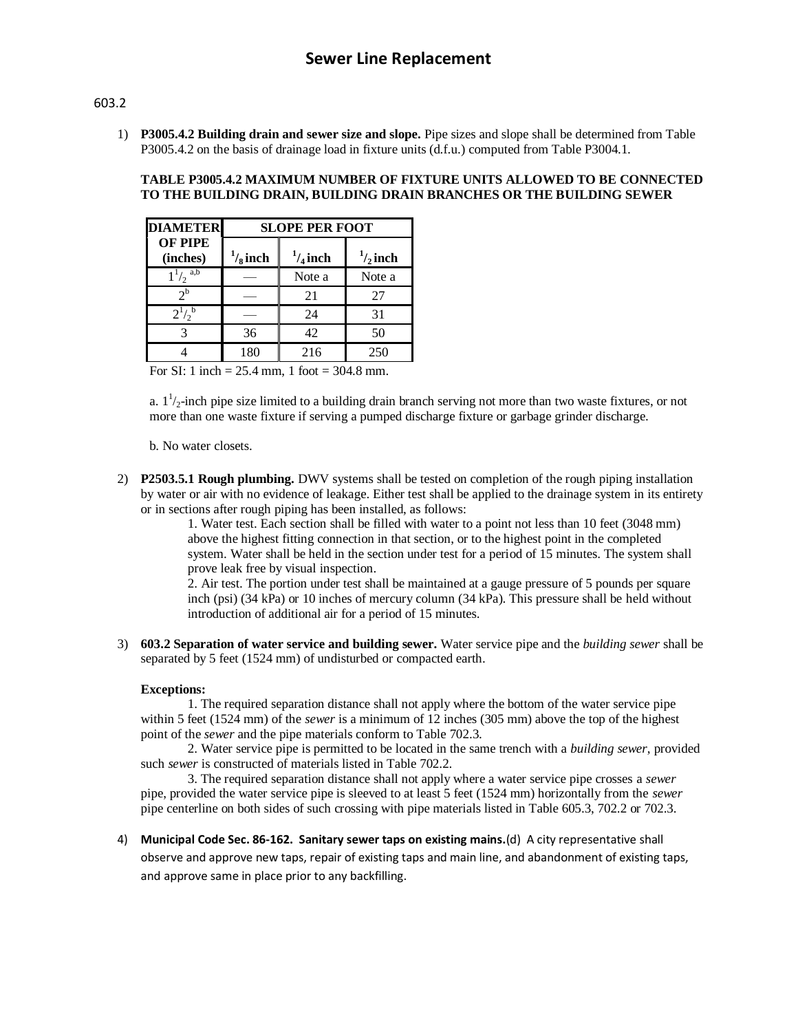## 603.2

1) **P3005.4.2 Building drain and sewer size and slope.** Pipe sizes and slope shall be determined from Table P3005.4.2 on the basis of drainage load in fixture units (d.f.u.) computed from Table P3004.1.

## **TABLE P3005.4.2 MAXIMUM NUMBER OF FIXTURE UNITS ALLOWED TO BE CONNECTED TO THE BUILDING DRAIN, BUILDING DRAIN BRANCHES OR THE BUILDING SEWER**

| <b>DIAMETER</b>            | <b>SLOPE PER FOOT</b> |                    |                    |
|----------------------------|-----------------------|--------------------|--------------------|
| <b>OF PIPE</b><br>(inches) | $\frac{1}{8}$ inch    | $\frac{1}{4}$ inch | $\frac{1}{2}$ inch |
| $1^{1/2}$ <sup>a,b</sup>   |                       | Note a             | Note a             |
| 2 <sup>b</sup>             |                       | 21                 | 27                 |
| $2^{1/2}$                  |                       | 24                 | 31                 |
| 3                          | 36                    | 42                 | 50                 |
|                            | 180                   | 216                | 250                |

For SI: 1 inch =  $25.4$  mm, 1 foot =  $304.8$  mm.

a.  $1^{\frac{1}{2}}$ -inch pipe size limited to a building drain branch serving not more than two waste fixtures, or not more than one waste fixture if serving a pumped discharge fixture or garbage grinder discharge.

b. No water closets.

2) **P2503.5.1 Rough plumbing.** DWV systems shall be tested on completion of the rough piping installation by water or air with no evidence of leakage. Either test shall be applied to the drainage system in its entirety or in sections after rough piping has been installed, as follows:

> 1. Water test. Each section shall be filled with water to a point not less than 10 feet (3048 mm) above the highest fitting connection in that section, or to the highest point in the completed system. Water shall be held in the section under test for a period of 15 minutes. The system shall prove leak free by visual inspection.

> 2. Air test. The portion under test shall be maintained at a gauge pressure of 5 pounds per square inch (psi) (34 kPa) or 10 inches of mercury column (34 kPa). This pressure shall be held without introduction of additional air for a period of 15 minutes.

3) **603.2 Separation of water service and building sewer.** Water service pipe and the *building sewer* shall be separated by 5 feet (1524 mm) of undisturbed or compacted earth.

## **Exceptions:**

1. The required separation distance shall not apply where the bottom of the water service pipe within 5 feet (1524 mm) of the *sewer* is a minimum of 12 inches (305 mm) above the top of the highest point of the *sewer* and the pipe materials conform to Table 702.3.

2. Water service pipe is permitted to be located in the same trench with a *building sewer*, provided such *sewer* is constructed of materials listed in Table 702.2.

3. The required separation distance shall not apply where a water service pipe crosses a *sewer* pipe, provided the water service pipe is sleeved to at least 5 feet (1524 mm) horizontally from the *sewer* pipe centerline on both sides of such crossing with pipe materials listed in Table 605.3, 702.2 or 702.3.

4) **Municipal Code Sec. 86-162. Sanitary sewer taps on existing mains.**(d) A city representative shall observe and approve new taps, repair of existing taps and main line, and abandonment of existing taps, and approve same in place prior to any backfilling.